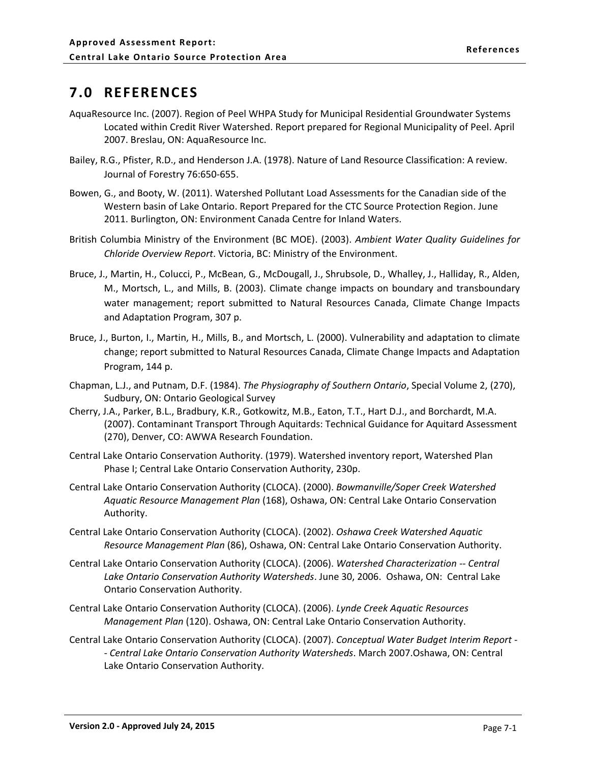## **7.0 REFERENCES**

- AquaResource Inc. (2007). Region of Peel WHPA Study for Municipal Residential Groundwater Systems Located within Credit River Watershed. Report prepared for Regional Municipality of Peel. April 2007. Breslau, ON: AquaResource Inc.
- Bailey, R.G., Pfister, R.D., and Henderson J.A. (1978). Nature of Land Resource Classification: A review. Journal of Forestry 76:650-655.
- Bowen, G., and Booty, W. (2011). Watershed Pollutant Load Assessments for the Canadian side of the Western basin of Lake Ontario. Report Prepared for the CTC Source Protection Region. June 2011. Burlington, ON: Environment Canada Centre for Inland Waters.
- British Columbia Ministry of the Environment (BC MOE). (2003). *Ambient Water Quality Guidelines for Chloride Overview Report*. Victoria, BC: Ministry of the Environment.
- Bruce, J., Martin, H., Colucci, P., McBean, G., McDougall, J., Shrubsole, D., Whalley, J., Halliday, R., Alden, M., Mortsch, L., and Mills, B. (2003). Climate change impacts on boundary and transboundary water management; report submitted to Natural Resources Canada, Climate Change Impacts and Adaptation Program, 307 p.
- Bruce, J., Burton, I., Martin, H., Mills, B., and Mortsch, L. (2000). Vulnerability and adaptation to climate change; report submitted to Natural Resources Canada, Climate Change Impacts and Adaptation Program, 144 p.
- Chapman, L.J., and Putnam, D.F. (1984). *The Physiography of Southern Ontario*, Special Volume 2, (270), Sudbury, ON: Ontario Geological Survey
- Cherry, J.A., Parker, B.L., Bradbury, K.R., Gotkowitz, M.B., Eaton, T.T., Hart D.J., and Borchardt, M.A. (2007). Contaminant Transport Through Aquitards: Technical Guidance for Aquitard Assessment (270), Denver, CO: AWWA Research Foundation.
- Central Lake Ontario Conservation Authority. (1979). Watershed inventory report, Watershed Plan Phase I; Central Lake Ontario Conservation Authority, 230p.
- Central Lake Ontario Conservation Authority (CLOCA). (2000). *Bowmanville/Soper Creek Watershed Aquatic Resource Management Plan* (168), Oshawa, ON: Central Lake Ontario Conservation Authority.
- Central Lake Ontario Conservation Authority (CLOCA). (2002). *Oshawa Creek Watershed Aquatic Resource Management Plan* (86), Oshawa, ON: Central Lake Ontario Conservation Authority.
- Central Lake Ontario Conservation Authority (CLOCA). (2006). *Watershed Characterization -- Central Lake Ontario Conservation Authority Watersheds*. June 30, 2006. Oshawa, ON: Central Lake Ontario Conservation Authority.
- Central Lake Ontario Conservation Authority (CLOCA). (2006). *Lynde Creek Aquatic Resources Management Plan* (120). Oshawa, ON: Central Lake Ontario Conservation Authority.
- Central Lake Ontario Conservation Authority (CLOCA). (2007). *Conceptual Water Budget Interim Report - - Central Lake Ontario Conservation Authority Watersheds*. March 2007.Oshawa, ON: Central Lake Ontario Conservation Authority.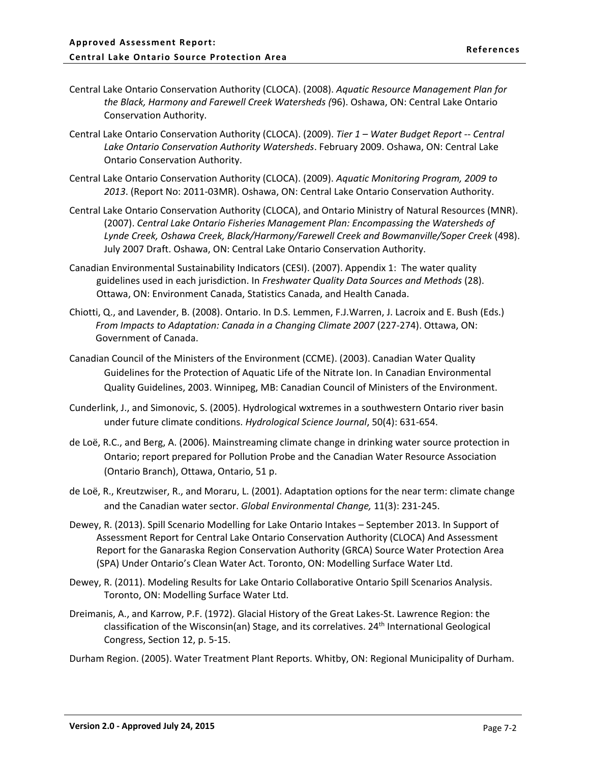- Central Lake Ontario Conservation Authority (CLOCA). (2008). *Aquatic Resource Management Plan for the Black, Harmony and Farewell Creek Watersheds (*96). Oshawa, ON: Central Lake Ontario Conservation Authority.
- Central Lake Ontario Conservation Authority (CLOCA). (2009). *Tier 1 – Water Budget Report -- Central Lake Ontario Conservation Authority Watersheds*. February 2009. Oshawa, ON: Central Lake Ontario Conservation Authority.
- Central Lake Ontario Conservation Authority (CLOCA). (2009). *Aquatic Monitoring Program, 2009 to 2013*. (Report No: 2011-03MR). Oshawa, ON: Central Lake Ontario Conservation Authority.
- Central Lake Ontario Conservation Authority (CLOCA), and Ontario Ministry of Natural Resources (MNR). (2007). *Central Lake Ontario Fisheries Management Plan: Encompassing the Watersheds of Lynde Creek, Oshawa Creek, Black/Harmony/Farewell Creek and Bowmanville/Soper Creek* (498). July 2007 Draft. Oshawa, ON: Central Lake Ontario Conservation Authority.
- Canadian Environmental Sustainability Indicators (CESI). (2007). Appendix 1: The water quality guidelines used in each jurisdiction. In *Freshwater Quality Data Sources and Methods* (28). Ottawa, ON: Environment Canada, Statistics Canada, and Health Canada.
- Chiotti, Q., and Lavender, B. (2008). Ontario. In D.S. Lemmen, F.J.Warren, J. Lacroix and E. Bush (Eds.) *From Impacts to Adaptation: Canada in a Changing Climate 2007* (227-274). Ottawa, ON: Government of Canada.
- Canadian Council of the Ministers of the Environment (CCME). (2003). Canadian Water Quality Guidelines for the Protection of Aquatic Life of the Nitrate Ion. In Canadian Environmental Quality Guidelines, 2003. Winnipeg, MB: Canadian Council of Ministers of the Environment.
- Cunderlink, J., and Simonovic, S. (2005). Hydrological wxtremes in a southwestern Ontario river basin under future climate conditions. *Hydrological Science Journal*, 50(4): 631-654.
- de Loë, R.C., and Berg, A. (2006). Mainstreaming climate change in drinking water source protection in Ontario; report prepared for Pollution Probe and the Canadian Water Resource Association (Ontario Branch), Ottawa, Ontario, 51 p.
- de Loë, R., Kreutzwiser, R., and Moraru, L. (2001). Adaptation options for the near term: climate change and the Canadian water sector. *Global Environmental Change,* 11(3): 231-245.
- Dewey, R. (2013). Spill Scenario Modelling for Lake Ontario Intakes September 2013. In Support of Assessment Report for Central Lake Ontario Conservation Authority (CLOCA) And Assessment Report for the Ganaraska Region Conservation Authority (GRCA) Source Water Protection Area (SPA) Under Ontario's Clean Water Act. Toronto, ON: Modelling Surface Water Ltd.
- Dewey, R. (2011). Modeling Results for Lake Ontario Collaborative Ontario Spill Scenarios Analysis. Toronto, ON: Modelling Surface Water Ltd.
- Dreimanis, A., and Karrow, P.F. (1972). Glacial History of the Great Lakes-St. Lawrence Region: the classification of the Wisconsin(an) Stage, and its correlatives.  $24<sup>th</sup>$  International Geological Congress, Section 12, p. 5-15.
- Durham Region. (2005). Water Treatment Plant Reports. Whitby, ON: Regional Municipality of Durham.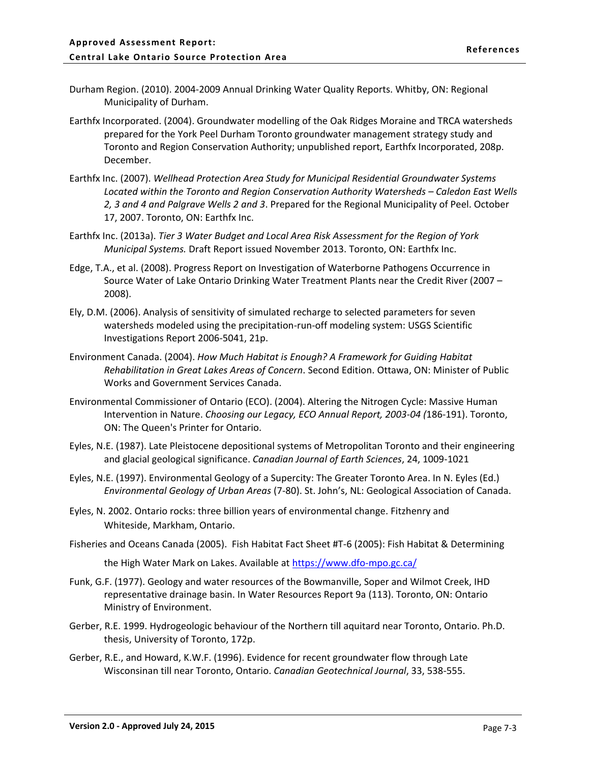- Durham Region. (2010). 2004-2009 Annual Drinking Water Quality Reports. Whitby, ON: Regional Municipality of Durham.
- Earthfx Incorporated. (2004). Groundwater modelling of the Oak Ridges Moraine and TRCA watersheds prepared for the York Peel Durham Toronto groundwater management strategy study and Toronto and Region Conservation Authority; unpublished report, Earthfx Incorporated, 208p. December.
- Earthfx Inc. (2007). *Wellhead Protection Area Study for Municipal Residential Groundwater Systems*  Located within the Toronto and Region Conservation Authority Watersheds – Caledon East Wells *2, 3 and 4 and Palgrave Wells 2 and 3*. Prepared for the Regional Municipality of Peel. October 17, 2007. Toronto, ON: Earthfx Inc.
- Earthfx Inc. (2013a). *Tier 3 Water Budget and Local Area Risk Assessment for the Region of York Municipal Systems.* Draft Report issued November 2013. Toronto, ON: Earthfx Inc.
- Edge, T.A., et al. (2008). Progress Report on Investigation of Waterborne Pathogens Occurrence in Source Water of Lake Ontario Drinking Water Treatment Plants near the Credit River (2007 – 2008).
- Ely, D.M. (2006). Analysis of sensitivity of simulated recharge to selected parameters for seven watersheds modeled using the precipitation-run-off modeling system: USGS Scientific Investigations Report 2006-5041, 21p.
- Environment Canada. (2004). *How Much Habitat is Enough? A Framework for Guiding Habitat Rehabilitation in Great Lakes Areas of Concern*. Second Edition. Ottawa, ON: Minister of Public Works and Government Services Canada.
- Environmental Commissioner of Ontario (ECO). (2004). Altering the Nitrogen Cycle: Massive Human Intervention in Nature. *Choosing our Legacy, ECO Annual Report, 2003-04 (*186-191). Toronto, ON: The Queen's Printer for Ontario.
- Eyles, N.E. (1987). Late Pleistocene depositional systems of Metropolitan Toronto and their engineering and glacial geological significance. *Canadian Journal of Earth Sciences*, 24, 1009-1021
- Eyles, N.E. (1997). Environmental Geology of a Supercity: The Greater Toronto Area. In N. Eyles (Ed.) *Environmental Geology of Urban Areas* (7-80). St. John's, NL: Geological Association of Canada.
- Eyles, N. 2002. Ontario rocks: three billion years of environmental change. Fitzhenry and Whiteside, Markham, Ontario.
- Fisheries and Oceans Canada (2005). Fish Habitat Fact Sheet #T-6 (2005): Fish Habitat & Determining

the High Water Mark on Lakes. Available at<https://www.dfo-mpo.gc.ca/>

- Funk, G.F. (1977). Geology and water resources of the Bowmanville, Soper and Wilmot Creek, IHD representative drainage basin. In Water Resources Report 9a (113). Toronto, ON: Ontario Ministry of Environment.
- Gerber, R.E. 1999. Hydrogeologic behaviour of the Northern till aquitard near Toronto, Ontario. Ph.D. thesis, University of Toronto, 172p.
- Gerber, R.E., and Howard, K.W.F. (1996). Evidence for recent groundwater flow through Late Wisconsinan till near Toronto, Ontario. *Canadian Geotechnical Journal*, 33, 538-555.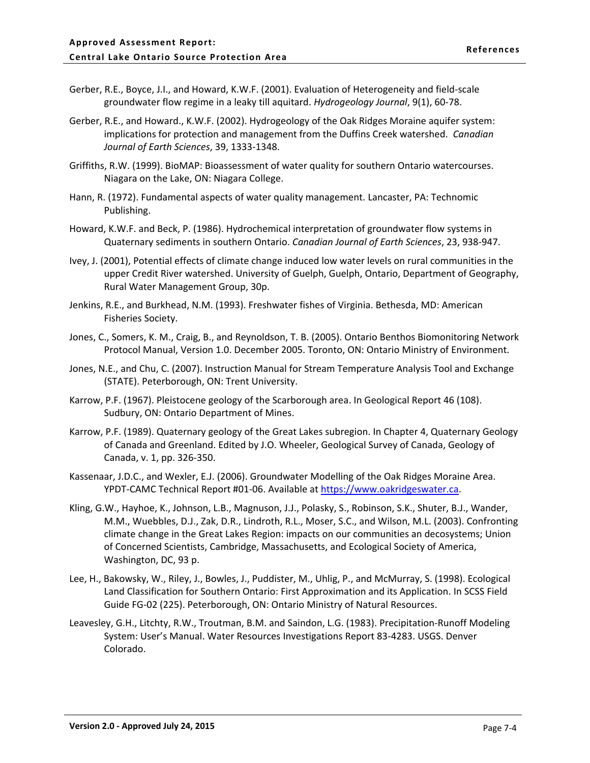- Gerber, R.E., Boyce, J.I., and Howard, K.W.F. (2001). Evaluation of Heterogeneity and field-scale groundwater flow regime in a leaky till aquitard. *Hydrogeology Journal*, 9(1), 60-78.
- Gerber, R.E., and Howard., K.W.F. (2002). Hydrogeology of the Oak Ridges Moraine aquifer system: implications for protection and management from the Duffins Creek watershed. *Canadian Journal of Earth Sciences*, 39, 1333-1348.
- Griffiths, R.W. (1999). BioMAP: Bioassessment of water quality for southern Ontario watercourses. Niagara on the Lake, ON: Niagara College.
- Hann, R. (1972). Fundamental aspects of water quality management. Lancaster, PA: Technomic Publishing.
- Howard, K.W.F. and Beck, P. (1986). Hydrochemical interpretation of groundwater flow systems in Quaternary sediments in southern Ontario. *Canadian Journal of Earth Sciences*, 23, 938-947.
- Ivey, J. (2001), Potential effects of climate change induced low water levels on rural communities in the upper Credit River watershed. University of Guelph, Guelph, Ontario, Department of Geography, Rural Water Management Group, 30p.
- Jenkins, R.E., and Burkhead, N.M. (1993). Freshwater fishes of Virginia. Bethesda, MD: American Fisheries Society.
- Jones, C., Somers, K. M., Craig, B., and Reynoldson, T. B. (2005). Ontario Benthos Biomonitoring Network Protocol Manual, Version 1.0. December 2005. Toronto, ON: Ontario Ministry of Environment.
- Jones, N.E., and Chu, C. (2007). Instruction Manual for Stream Temperature Analysis Tool and Exchange (STATE). Peterborough, ON: Trent University.
- Karrow, P.F. (1967). Pleistocene geology of the Scarborough area. In Geological Report 46 (108). Sudbury, ON: Ontario Department of Mines.
- Karrow, P.F. (1989). Quaternary geology of the Great Lakes subregion. In Chapter 4, Quaternary Geology of Canada and Greenland. Edited by J.O. Wheeler, Geological Survey of Canada, Geology of Canada, v. 1, pp. 326-350.
- Kassenaar, J.D.C., and Wexler, E.J. (2006). Groundwater Modelling of the Oak Ridges Moraine Area. YPDT-CAMC Technical Report #01-06. Available at [https://www.oakridgeswater.ca.](http://www.ypdt-camc.ca/)
- Kling, G.W., Hayhoe, K., Johnson, L.B., Magnuson, J.J., Polasky, S., Robinson, S.K., Shuter, B.J., Wander, M.M., Wuebbles, D.J., Zak, D.R., Lindroth, R.L., Moser, S.C., and Wilson, M.L. (2003). Confronting climate change in the Great Lakes Region: impacts on our communities an decosystems; Union of Concerned Scientists, Cambridge, Massachusetts, and Ecological Society of America, Washington, DC, 93 p.
- Lee, H., Bakowsky, W., Riley, J., Bowles, J., Puddister, M., Uhlig, P., and McMurray, S. (1998). Ecological Land Classification for Southern Ontario: First Approximation and its Application. In SCSS Field Guide FG-02 (225). Peterborough, ON: Ontario Ministry of Natural Resources.
- Leavesley, G.H., Litchty, R.W., Troutman, B.M. and Saindon, L.G. (1983). Precipitation-Runoff Modeling System: User's Manual. Water Resources Investigations Report 83-4283. USGS. Denver Colorado.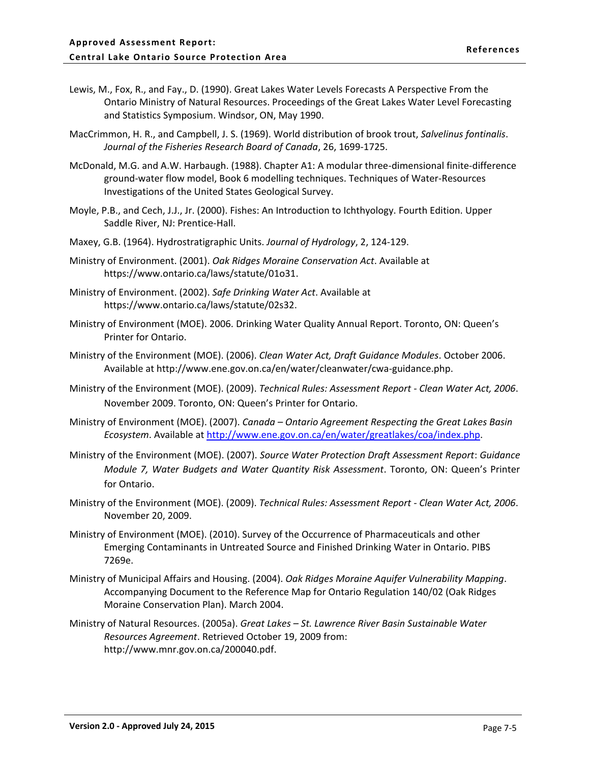- Lewis, M., Fox, R., and Fay., D. (1990). Great Lakes Water Levels Forecasts A Perspective From the Ontario Ministry of Natural Resources. Proceedings of the Great Lakes Water Level Forecasting and Statistics Symposium. Windsor, ON, May 1990.
- MacCrimmon, H. R., and Campbell, J. S. (1969). World distribution of brook trout, *Salvelinus fontinalis*. *Journal of the Fisheries Research Board of Canada*, 26, 1699-1725.
- McDonald, M.G. and A.W. Harbaugh. (1988). Chapter A1: A modular three-dimensional finite-difference ground-water flow model, Book 6 modelling techniques. Techniques of Water-Resources Investigations of the United States Geological Survey.
- Moyle, P.B., and Cech, J.J., Jr. (2000). Fishes: An Introduction to Ichthyology. Fourth Edition. Upper Saddle River, NJ: Prentice-Hall.
- Maxey, G.B. (1964). Hydrostratigraphic Units. *Journal of Hydrology*, 2, 124-129.
- Ministry of Environment. (2001). *Oak Ridges Moraine Conservation Act*. Available at https://www.ontario.ca/laws/statute/01o31.
- Ministry of Environment. (2002). *Safe Drinking Water Act*. Available at https://www.ontario.ca/laws/statute/02s32.
- Ministry of Environment (MOE). 2006. Drinking Water Quality Annual Report. Toronto, ON: Queen's Printer for Ontario.
- Ministry of the Environment (MOE). (2006). *Clean Water Act, Draft Guidance Modules*. October 2006. Available at http://www.ene.gov.on.ca/en/water/cleanwater/cwa-guidance.php.
- Ministry of the Environment (MOE). (2009). *Technical Rules: Assessment Report - Clean Water Act, 2006*. November 2009. Toronto, ON: Queen's Printer for Ontario.
- Ministry of Environment (MOE). (2007). *Canada – Ontario Agreement Respecting the Great Lakes Basin Ecosystem*. Available a[t http://www.ene.gov.on.ca/en/water/greatlakes/coa/index.php.](http://www.ene.gov.on.ca/en/water/greatlakes/coa/index.php)
- Ministry of the Environment (MOE). (2007). *Source Water Protection Draft Assessment Report*: *Guidance Module 7, Water Budgets and Water Quantity Risk Assessment*. Toronto, ON: Queen's Printer for Ontario.
- Ministry of the Environment (MOE). (2009). *Technical Rules: Assessment Report - Clean Water Act, 2006*. November 20, 2009.
- Ministry of Environment (MOE). (2010). Survey of the Occurrence of Pharmaceuticals and other Emerging Contaminants in Untreated Source and Finished Drinking Water in Ontario. PIBS 7269e.
- Ministry of Municipal Affairs and Housing. (2004). *Oak Ridges Moraine Aquifer Vulnerability Mapping*. Accompanying Document to the Reference Map for Ontario Regulation 140/02 (Oak Ridges Moraine Conservation Plan). March 2004.
- Ministry of Natural Resources. (2005a). *Great Lakes – St. Lawrence River Basin Sustainable Water Resources Agreement*. Retrieved October 19, 2009 from: [http://www.mnr.gov.on.ca/200040.pdf.](http://www.mnr.gov.on.ca/200040.pdf)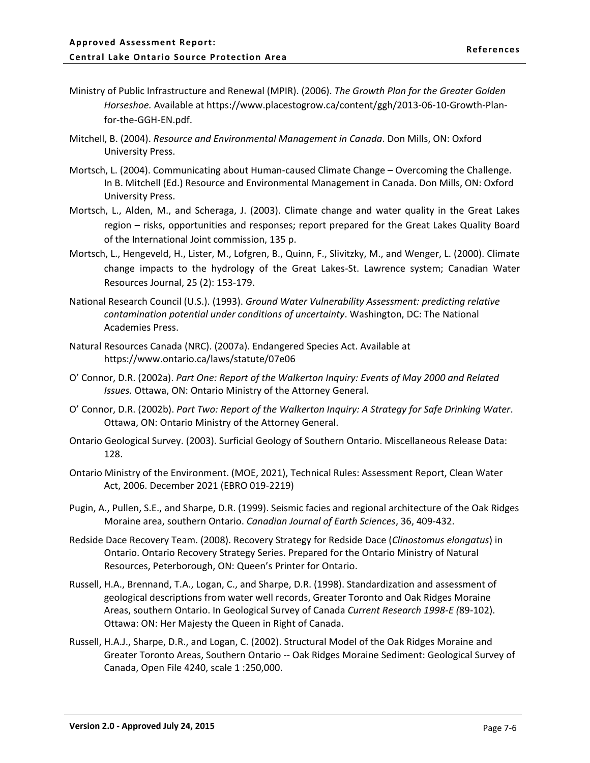- Ministry of Public Infrastructure and Renewal (MPIR). (2006). *The Growth Plan for the Greater Golden Horseshoe.* Available at https://www.placestogrow.ca/content/ggh/2013-06-10-Growth-Planfor-the-GGH-EN.pdf.
- Mitchell, B. (2004). *Resource and Environmental Management in Canada*. Don Mills, ON: Oxford University Press.
- Mortsch, L. (2004). Communicating about Human-caused Climate Change Overcoming the Challenge. In B. Mitchell (Ed.) Resource and Environmental Management in Canada. Don Mills, ON: Oxford University Press.
- Mortsch, L., Alden, M., and Scheraga, J. (2003). Climate change and water quality in the Great Lakes region – risks, opportunities and responses; report prepared for the Great Lakes Quality Board of the International Joint commission, 135 p.
- Mortsch, L., Hengeveld, H., Lister, M., Lofgren, B., Quinn, F., Slivitzky, M., and Wenger, L. (2000). Climate change impacts to the hydrology of the Great Lakes-St. Lawrence system; Canadian Water Resources Journal, 25 (2): 153-179.
- National Research Council (U.S.). (1993). *Ground Water Vulnerability Assessment: predicting relative contamination potential under conditions of uncertainty*. Washington, DC: The National Academies Press.
- Natural Resources Canada (NRC). (2007a). Endangered Species Act. Available at https://www.ontario.ca/laws/statute/07e06
- O' Connor, D.R. (2002a). *Part One: Report of the Walkerton Inquiry: Events of May 2000 and Related Issues.* Ottawa, ON: Ontario Ministry of the Attorney General.
- O' Connor, D.R. (2002b). *Part Two: Report of the Walkerton Inquiry: A Strategy for Safe Drinking Water*. Ottawa, ON: Ontario Ministry of the Attorney General.
- Ontario Geological Survey. (2003). Surficial Geology of Southern Ontario. Miscellaneous Release Data: 128.
- Ontario Ministry of the Environment. (MOE, 2021), Technical Rules: Assessment Report, Clean Water Act, 2006. December 2021 (EBRO 019-2219)
- Pugin, A., Pullen, S.E., and Sharpe, D.R. (1999). Seismic facies and regional architecture of the Oak Ridges Moraine area, southern Ontario. *Canadian Journal of Earth Sciences*, 36, 409-432.
- Redside Dace Recovery Team. (2008). Recovery Strategy for Redside Dace (*Clinostomus elongatus*) in Ontario. Ontario Recovery Strategy Series. Prepared for the Ontario Ministry of Natural Resources, Peterborough, ON: Queen's Printer for Ontario.
- Russell, H.A., Brennand, T.A., Logan, C., and Sharpe, D.R. (1998). Standardization and assessment of geological descriptions from water well records, Greater Toronto and Oak Ridges Moraine Areas, southern Ontario. In Geological Survey of Canada *Current Research 1998-E (*89-102). Ottawa: ON: Her Majesty the Queen in Right of Canada.
- Russell, H.A.J., Sharpe, D.R., and Logan, C. (2002). Structural Model of the Oak Ridges Moraine and Greater Toronto Areas, Southern Ontario -- Oak Ridges Moraine Sediment: Geological Survey of Canada, Open File 4240, scale 1 :250,000.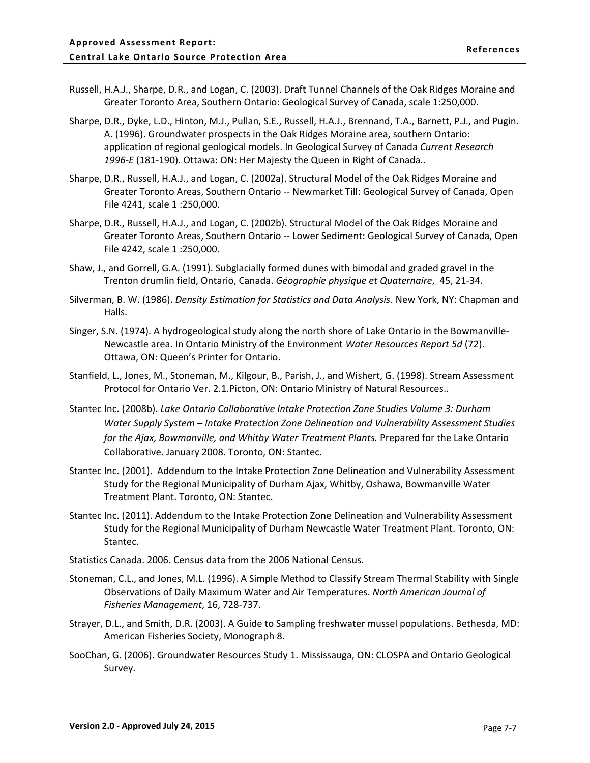- Russell, H.A.J., Sharpe, D.R., and Logan, C. (2003). Draft Tunnel Channels of the Oak Ridges Moraine and Greater Toronto Area, Southern Ontario: Geological Survey of Canada, scale 1:250,000.
- Sharpe, D.R., Dyke, L.D., Hinton, M.J., Pullan, S.E., Russell, H.A.J., Brennand, T.A., Barnett, P.J., and Pugin. A. (1996). Groundwater prospects in the Oak Ridges Moraine area, southern Ontario: application of regional geological models. In Geological Survey of Canada *Current Research 1996-E* (181-190). Ottawa: ON: Her Majesty the Queen in Right of Canada..
- Sharpe, D.R., Russell, H.A.J., and Logan, C. (2002a). Structural Model of the Oak Ridges Moraine and Greater Toronto Areas, Southern Ontario -- Newmarket Till: Geological Survey of Canada, Open File 4241, scale 1 :250,000.
- Sharpe, D.R., Russell, H.A.J., and Logan, C. (2002b). Structural Model of the Oak Ridges Moraine and Greater Toronto Areas, Southern Ontario -- Lower Sediment: Geological Survey of Canada, Open File 4242, scale 1 :250,000.
- Shaw, J., and Gorrell, G.A. (1991). Subglacially formed dunes with bimodal and graded gravel in the Trenton drumlin field, Ontario, Canada. *Géographie physique et Quaternaire*, 45, 21-34.
- Silverman, B. W. (1986). *Density Estimation for Statistics and Data Analysis*. New York, NY: Chapman and Halls.
- Singer, S.N. (1974). A hydrogeological study along the north shore of Lake Ontario in the Bowmanville-Newcastle area. In Ontario Ministry of the Environment *Water Resources Report 5d* (72). Ottawa, ON: Queen's Printer for Ontario.
- Stanfield, L., Jones, M., Stoneman, M., Kilgour, B., Parish, J., and Wishert, G. (1998). Stream Assessment Protocol for Ontario Ver. 2.1.Picton, ON: Ontario Ministry of Natural Resources..
- Stantec Inc. (2008b). *Lake Ontario Collaborative Intake Protection Zone Studies Volume 3: Durham Water Supply System – Intake Protection Zone Delineation and Vulnerability Assessment Studies for the Ajax, Bowmanville, and Whitby Water Treatment Plants.* Prepared for the Lake Ontario Collaborative. January 2008. Toronto, ON: Stantec.
- Stantec Inc. (2001). Addendum to the Intake Protection Zone Delineation and Vulnerability Assessment Study for the Regional Municipality of Durham Ajax, Whitby, Oshawa, Bowmanville Water Treatment Plant. Toronto, ON: Stantec.
- Stantec Inc. (2011). Addendum to the Intake Protection Zone Delineation and Vulnerability Assessment Study for the Regional Municipality of Durham Newcastle Water Treatment Plant. Toronto, ON: Stantec.
- Statistics Canada. 2006. Census data from the 2006 National Census.
- Stoneman, C.L., and Jones, M.L. (1996). A Simple Method to Classify Stream Thermal Stability with Single Observations of Daily Maximum Water and Air Temperatures. *North American Journal of Fisheries Management*, 16, 728-737.
- Strayer, D.L., and Smith, D.R. (2003). A Guide to Sampling freshwater mussel populations. Bethesda, MD: American Fisheries Society, Monograph 8.
- SooChan, G. (2006). Groundwater Resources Study 1. Mississauga, ON: CLOSPA and Ontario Geological Survey.